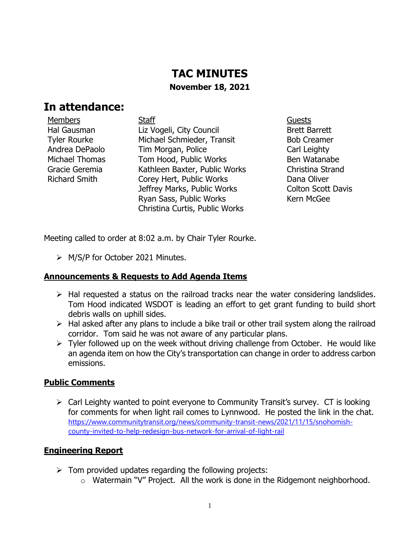# **TAC MINUTES November 18, 2021**

# **In attendance:**

Members **Staff Staff Guests** Guests Hal Gausman Tyler Rourke Andrea DePaolo Michael Thomas Gracie Geremia Richard Smith

Liz Vogeli, City Council Michael Schmieder, Transit Tim Morgan, Police Tom Hood, Public Works Kathleen Baxter, Public Works Corey Hert, Public Works Jeffrey Marks, Public Works Ryan Sass, Public Works Christina Curtis, Public Works

Brett Barrett Bob Creamer Carl Leighty Ben Watanabe Christina Strand Dana Oliver Colton Scott Davis Kern McGee

Meeting called to order at 8:02 a.m. by Chair Tyler Rourke.

➢ M/S/P for October 2021 Minutes.

### **Announcements & Requests to Add Agenda Items**

- $\triangleright$  Hal requested a status on the railroad tracks near the water considering landslides. Tom Hood indicated WSDOT is leading an effort to get grant funding to build short debris walls on uphill sides.
- ➢ Hal asked after any plans to include a bike trail or other trail system along the railroad corridor. Tom said he was not aware of any particular plans.
- $\triangleright$  Tyler followed up on the week without driving challenge from October. He would like an agenda item on how the City's transportation can change in order to address carbon emissions.

### **Public Comments**

➢ Carl Leighty wanted to point everyone to Community Transit's survey. CT is looking for comments for when light rail comes to Lynnwood. He posted the link in the chat. [https://www.communitytransit.org/news/community-transit-news/2021/11/15/snohomish](https://www.communitytransit.org/news/community-transit-news/2021/11/15/snohomish-county-invited-to-help-redesign-bus-network-for-arrival-of-light-rail)[county-invited-to-help-redesign-bus-network-for-arrival-of-light-rail](https://www.communitytransit.org/news/community-transit-news/2021/11/15/snohomish-county-invited-to-help-redesign-bus-network-for-arrival-of-light-rail)

### **Engineering Report**

- $\triangleright$  Tom provided updates regarding the following projects:
	- o Watermain "V" Project. All the work is done in the Ridgemont neighborhood.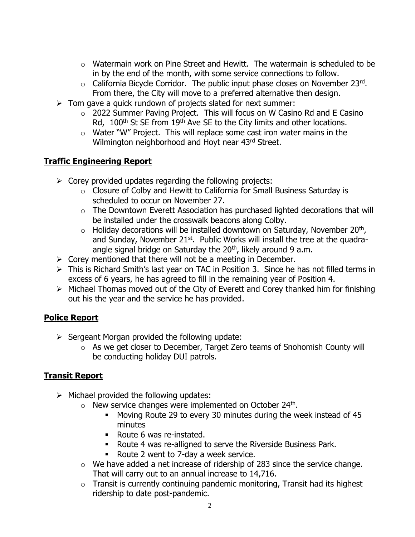- o Watermain work on Pine Street and Hewitt. The watermain is scheduled to be in by the end of the month, with some service connections to follow.
- $\circ$  California Bicycle Corridor. The public input phase closes on November 23rd. From there, the City will move to a preferred alternative then design.
- $\triangleright$  Tom gave a quick rundown of projects slated for next summer:
	- o 2022 Summer Paving Project. This will focus on W Casino Rd and E Casino Rd, 100<sup>th</sup> St SE from 19<sup>th</sup> Ave SE to the City limits and other locations.
	- o Water "W" Project. This will replace some cast iron water mains in the Wilmington neighborhood and Hoyt near 43rd Street.

## **Traffic Engineering Report**

- $\triangleright$  Corey provided updates regarding the following projects:
	- o Closure of Colby and Hewitt to California for Small Business Saturday is scheduled to occur on November 27.
	- o The Downtown Everett Association has purchased lighted decorations that will be installed under the crosswalk beacons along Colby.
	- $\circ$  Holiday decorations will be installed downtown on Saturday, November 20<sup>th</sup>, and Sunday, November  $21^{st}$ . Public Works will install the tree at the quadraangle signal bridge on Saturday the  $20<sup>th</sup>$ , likely around 9 a.m.
- $\triangleright$  Corey mentioned that there will not be a meeting in December.
- ➢ This is Richard Smith's last year on TAC in Position 3. Since he has not filled terms in excess of 6 years, he has agreed to fill in the remaining year of Position 4.
- ➢ Michael Thomas moved out of the City of Everett and Corey thanked him for finishing out his the year and the service he has provided.

### **Police Report**

- $\triangleright$  Sergeant Morgan provided the following update:
	- o As we get closer to December, Target Zero teams of Snohomish County will be conducting holiday DUI patrols.

### **Transit Report**

- $\triangleright$  Michael provided the following updates:
	- $\circ$  New service changes were implemented on October 24<sup>th</sup>.
		- Moving Route 29 to every 30 minutes during the week instead of 45 minutes
		- Route 6 was re-instated.
		- Route 4 was re-alligned to serve the Riverside Business Park.
		- Route 2 went to 7-day a week service.
	- $\circ$  We have added a net increase of ridership of 283 since the service change. That will carry out to an annual increase to 14,716.
	- $\circ$  Transit is currently continuing pandemic monitoring, Transit had its highest ridership to date post-pandemic.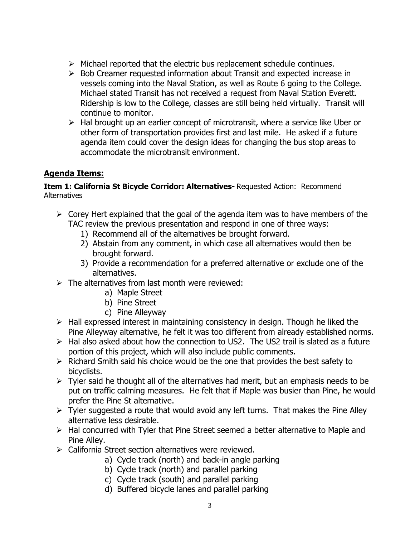- ➢ Michael reported that the electric bus replacement schedule continues.
- ➢ Bob Creamer requested information about Transit and expected increase in vessels coming into the Naval Station, as well as Route 6 going to the College. Michael stated Transit has not received a request from Naval Station Everett. Ridership is low to the College, classes are still being held virtually. Transit will continue to monitor.
- ➢ Hal brought up an earlier concept of microtransit, where a service like Uber or other form of transportation provides first and last mile. He asked if a future agenda item could cover the design ideas for changing the bus stop areas to accommodate the microtransit environment.

## **Agenda Items:**

#### **Item 1: California St Bicycle Corridor: Alternatives-** Requested Action: Recommend **Alternatives**

- $\triangleright$  Corey Hert explained that the goal of the agenda item was to have members of the TAC review the previous presentation and respond in one of three ways:
	- 1) Recommend all of the alternatives be brought forward.
	- 2) Abstain from any comment, in which case all alternatives would then be brought forward.
	- 3) Provide a recommendation for a preferred alternative or exclude one of the alternatives.
- $\triangleright$  The alternatives from last month were reviewed:
	- a) Maple Street
	- b) Pine Street
	- c) Pine Alleyway
- $\triangleright$  Hall expressed interest in maintaining consistency in design. Though he liked the Pine Alleyway alternative, he felt it was too different from already established norms.
- $\triangleright$  Hal also asked about how the connection to US2. The US2 trail is slated as a future portion of this project, which will also include public comments.
- ➢ Richard Smith said his choice would be the one that provides the best safety to bicyclists.
- $\triangleright$  Tyler said he thought all of the alternatives had merit, but an emphasis needs to be put on traffic calming measures. He felt that if Maple was busier than Pine, he would prefer the Pine St alternative.
- $\triangleright$  Tyler suggested a route that would avoid any left turns. That makes the Pine Alley alternative less desirable.
- ➢ Hal concurred with Tyler that Pine Street seemed a better alternative to Maple and Pine Alley.
- ➢ California Street section alternatives were reviewed.
	- a) Cycle track (north) and back-in angle parking
	- b) Cycle track (north) and parallel parking
	- c) Cycle track (south) and parallel parking
	- d) Buffered bicycle lanes and parallel parking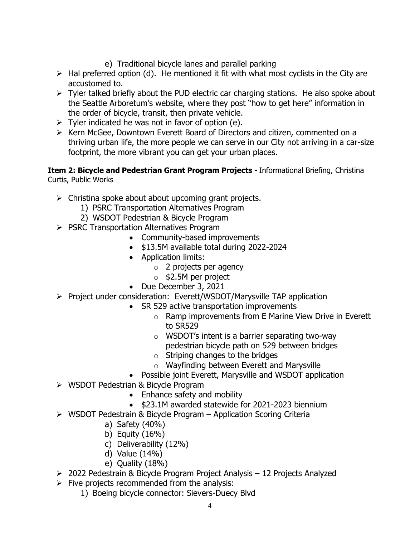- e) Traditional bicycle lanes and parallel parking
- $\triangleright$  Hal preferred option (d). He mentioned it fit with what most cyclists in the City are accustomed to.
- $\triangleright$  Tyler talked briefly about the PUD electric car charging stations. He also spoke about the Seattle Arboretum's website, where they post "how to get here" information in the order of bicycle, transit, then private vehicle.
- $\triangleright$  Tyler indicated he was not in favor of option (e).
- ➢ Kern McGee, Downtown Everett Board of Directors and citizen, commented on a thriving urban life, the more people we can serve in our City not arriving in a car-size footprint, the more vibrant you can get your urban places.

**Item 2: Bicycle and Pedestrian Grant Program Projects -** Informational Briefing, Christina Curtis, Public Works

- $\triangleright$  Christina spoke about about upcoming grant projects.
	- 1) PSRC Transportation Alternatives Program
	- 2) WSDOT Pedestrian & Bicycle Program
- ➢ PSRC Transportation Alternatives Program
	- Community-based improvements
	- \$13.5M available total during 2022-2024
	- Application limits:
		- o 2 projects per agency
		- $\circ$  \$2.5M per project
	- Due December 3, 2021
- ➢ Project under consideration: Everett/WSDOT/Marysville TAP application
	- SR 529 active transportation improvements
		- o Ramp improvements from E Marine View Drive in Everett to SR529
		- o WSDOT's intent is a barrier separating two-way pedestrian bicycle path on 529 between bridges
		- $\circ$  Striping changes to the bridges
		- o Wayfinding between Everett and Marysville
	- Possible joint Everett, Marysville and WSDOT application
- ➢ WSDOT Pedestrian & Bicycle Program
	- Enhance safety and mobility
	- \$23.1M awarded statewide for 2021-2023 biennium
- ➢ WSDOT Pedestrain & Bicycle Program Application Scoring Criteria
	- a) Safety (40%)
	- b) Equity (16%)
	- c) Deliverability (12%)
	- d) Value (14%)
	- e) Quality (18%)
- ➢ 2022 Pedestrain & Bicycle Program Project Analysis 12 Projects Analyzed
- $\triangleright$  Five projects recommended from the analysis:
	- 1) Boeing bicycle connector: Sievers-Duecy Blvd